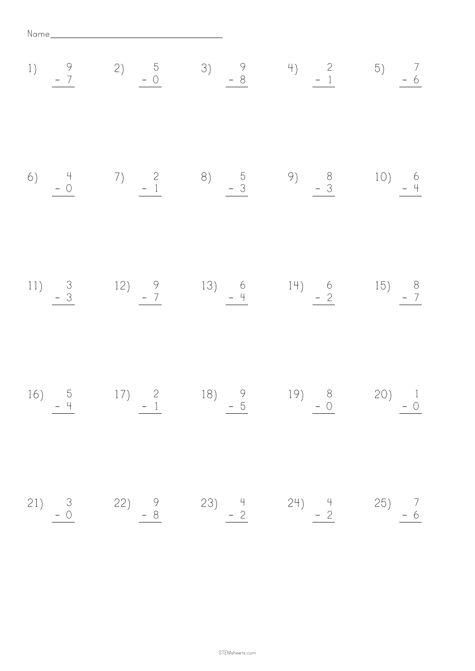Name

1) 9 - <sup>7</sup> 2) 5 - 0 3) 9 - 8 4) 2 - <sup>1</sup> 5) 7 - <sup>6</sup> 6) 4 - 0 7) 2 - <sup>1</sup> 8) 5 - 3 9) 8 - 3 10) 6 - 4 11) 3 - <sup>3</sup> 12) 9 - <sup>7</sup> 13) 6 - 4 14) 6 - <sup>2</sup> 15) 8 - <sup>7</sup> 16) 5 - 4 17) 2 - <sup>1</sup> 18) 9 - <sup>5</sup> 19) 8 - 0 20) 1 - 0 21) 3 - 0 22) 9 - 8 23) 4 - <sup>2</sup> 24) 4 - <sup>2</sup> 25) 7 - <sup>6</sup>